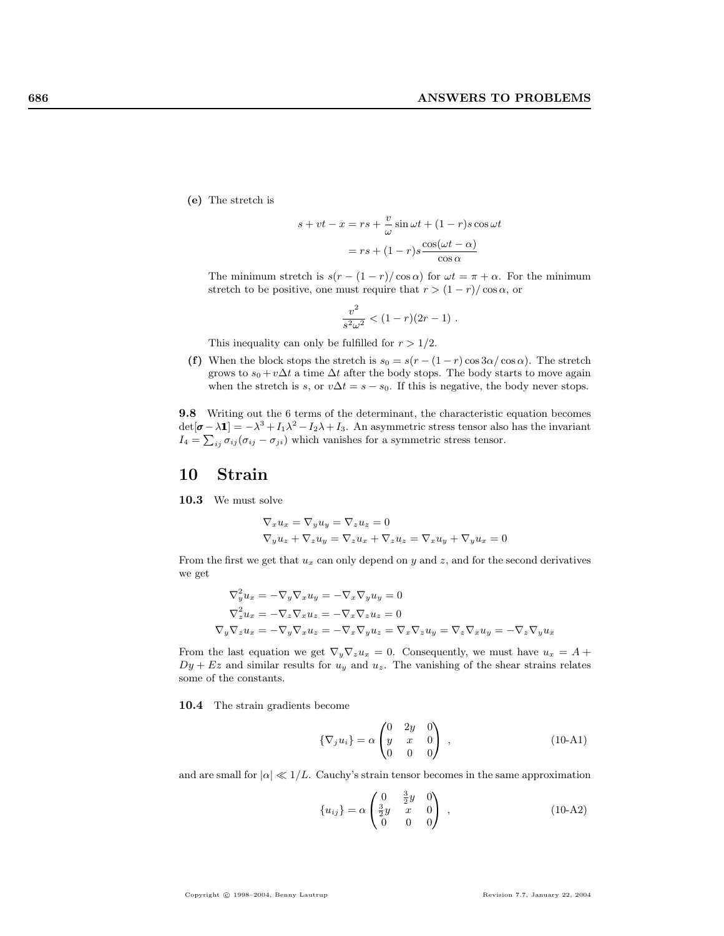(e) The stretch is

$$
s + vt - x = rs + \frac{v}{\omega} \sin \omega t + (1 - r)s \cos \omega t
$$

$$
= rs + (1 - r)s \frac{\cos(\omega t - \alpha)}{\cos \alpha}
$$

The minimum stretch is  $s(r - (1 - r)/\cos \alpha)$  for  $\omega t = \pi + \alpha$ . For the minimum stretch to be positive, one must require that  $r > (1 - r)/\cos \alpha$ , or

$$
\frac{v^2}{s^2\omega^2} < (1-r)(2r-1) \; .
$$

This inequality can only be fulfilled for  $r > 1/2$ .

(f) When the block stops the stretch is  $s_0 = s(r - (1 - r) \cos 3\alpha / \cos \alpha)$ . The stretch grows to  $s_0 + v\Delta t$  a time  $\Delta t$  after the body stops. The body starts to move again when the stretch is s, or  $v\Delta t = s - s_0$ . If this is negative, the body never stops.

9.8 Writing out the 6 terms of the determinant, the characteristic equation becomes  $\det[\pmb{\sigma} - \lambda \pmb{1}] = -\lambda^3 + I_1 \lambda^2 - I_2 \lambda + I_3$ . An asymmetric stress tensor also has the invariant  $I_4 = \sum_{ij} \sigma_{ij} (\sigma_{ij} - \sigma_{ji})$  which vanishes for a symmetric stress tensor.

## 10 Strain

10.3 We must solve

$$
\nabla_x u_x = \nabla_y u_y = \nabla_z u_z = 0
$$
  

$$
\nabla_y u_z + \nabla_z u_y = \nabla_z u_x + \nabla_z u_z = \nabla_x u_y + \nabla_y u_x = 0
$$

From the first we get that  $u_x$  can only depend on y and z, and for the second derivatives we get

$$
\nabla_y^2 u_x = -\nabla_y \nabla_x u_y = -\nabla_x \nabla_y u_y = 0
$$
  

$$
\nabla_z^2 u_x = -\nabla_z \nabla_x u_z = -\nabla_x \nabla_z u_z = 0
$$
  

$$
\nabla_y \nabla_z u_x = -\nabla_y \nabla_x u_z = -\nabla_x \nabla_y u_z = \nabla_x \nabla_z u_y = \nabla_z \nabla_x u_y = -\nabla_z \nabla_y u_x
$$

From the last equation we get  $\nabla_y \nabla_z u_x = 0$ . Consequently, we must have  $u_x = A +$  $Dy + Ez$  and similar results for  $u<sub>y</sub>$  and  $u<sub>z</sub>$ . The vanishing of the shear strains relates some of the constants.

10.4 The strain gradients become

$$
\{\nabla_j u_i\} = \alpha \begin{pmatrix} 0 & 2y & 0 \\ y & x & 0 \\ 0 & 0 & 0 \end{pmatrix} , \qquad (10-A1)
$$

and are small for  $|\alpha| \ll 1/L$ . Cauchy's strain tensor becomes in the same approximation

 $\sim$ 

$$
\{u_{ij}\} = \alpha \begin{pmatrix} 0 & \frac{3}{2}y & 0 \\ \frac{3}{2}y & x & 0 \\ 0 & 0 & 0 \end{pmatrix} , \qquad (10-A2)
$$